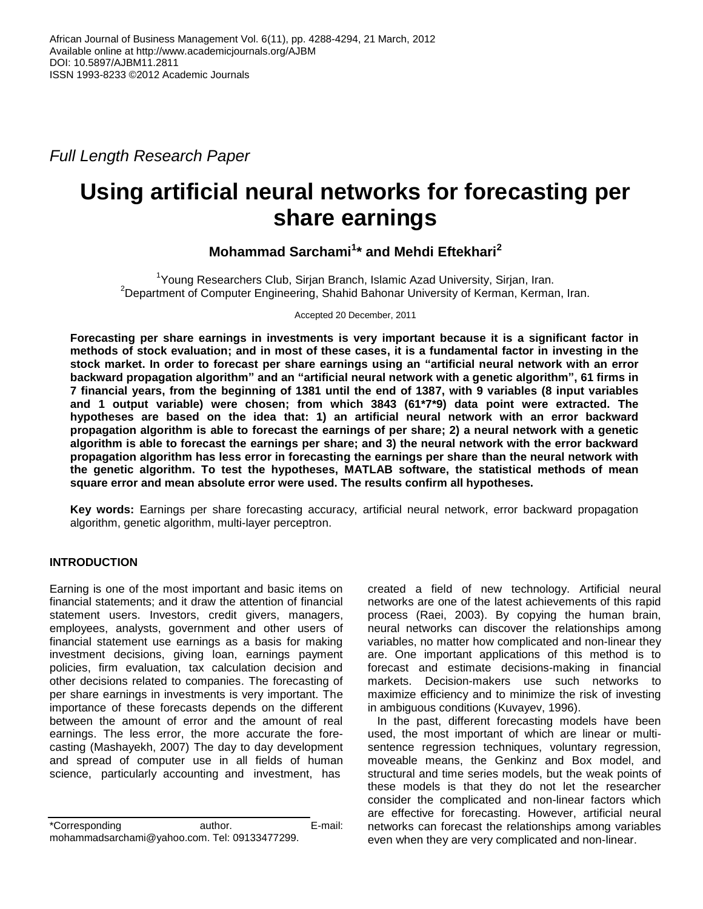*Full Length Research Paper*

# **Using artificial neural networks for forecasting per share earnings**

## **Mohammad Sarchami<sup>1</sup> \* and Mehdi Eftekhari<sup>2</sup>**

<sup>1</sup>Young Researchers Club, Sirjan Branch, Islamic Azad University, Sirjan, Iran. <sup>2</sup>Department of Computer Engineering, Shahid Bahonar University of Kerman, Kerman, Iran.

Accepted 20 December, 2011

**Forecasting per share earnings in investments is very important because it is a significant factor in methods of stock evaluation; and in most of these cases, it is a fundamental factor in investing in the stock market. In order to forecast per share earnings using an "artificial neural network with an error backward propagation algorithm" and an "artificial neural network with a genetic algorithm", 61 firms in 7 financial years, from the beginning of 1381 until the end of 1387, with 9 variables (8 input variables and 1 output variable) were chosen; from which 3843 (61\*7\*9) data point were extracted. The hypotheses are based on the idea that: 1) an artificial neural network with an error backward propagation algorithm is able to forecast the earnings of per share; 2) a neural network with a genetic algorithm is able to forecast the earnings per share; and 3) the neural network with the error backward propagation algorithm has less error in forecasting the earnings per share than the neural network with the genetic algorithm. To test the hypotheses, MATLAB software, the statistical methods of mean square error and mean absolute error were used. The results confirm all hypotheses.**

**Key words:** Earnings per share forecasting accuracy, artificial neural network, error backward propagation algorithm, genetic algorithm, multi-layer perceptron.

## **INTRODUCTION**

Earning is one of the most important and basic items on financial statements; and it draw the attention of financial statement users. Investors, credit givers, managers, employees, analysts, government and other users of financial statement use earnings as a basis for making investment decisions, giving loan, earnings payment policies, firm evaluation, tax calculation decision and other decisions related to companies. The forecasting of per share earnings in investments is very important. The importance of these forecasts depends on the different between the amount of error and the amount of real earnings. The less error, the more accurate the forecasting (Mashayekh, 2007) The day to day development and spread of computer use in all fields of human science, particularly accounting and investment, has

\*Corresponding author. E-mail: mohammadsarchami@yahoo.com. Tel: 09133477299.

created a field of new technology. Artificial neural networks are one of the latest achievements of this rapid process (Raei, 2003). By copying the human brain, neural networks can discover the relationships among variables, no matter how complicated and non-linear they are. One important applications of this method is to forecast and estimate decisions-making in financial markets. Decision-makers use such networks to maximize efficiency and to minimize the risk of investing in ambiguous conditions (Kuvayev, 1996).

 In the past, different forecasting models have been used, the most important of which are linear or multisentence regression techniques, voluntary regression, moveable means, the Genkinz and Box model, and structural and time series models, but the weak points of these models is that they do not let the researcher consider the complicated and non-linear factors which are effective for forecasting. However, artificial neural networks can forecast the relationships among variables even when they are very complicated and non-linear.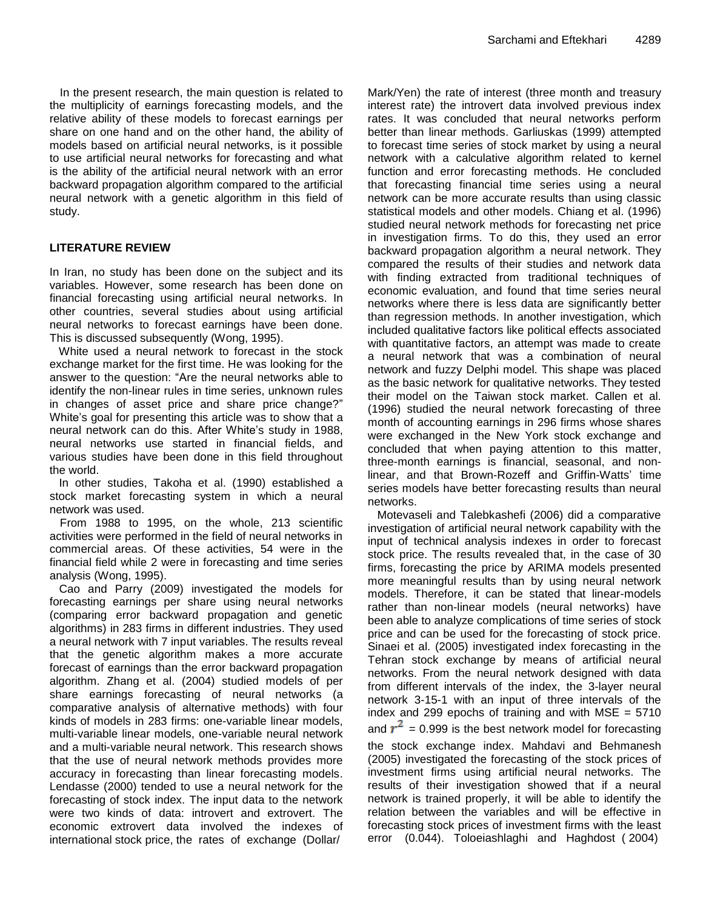In the present research, the main question is related to the multiplicity of earnings forecasting models, and the relative ability of these models to forecast earnings per share on one hand and on the other hand, the ability of models based on artificial neural networks, is it possible to use artificial neural networks for forecasting and what is the ability of the artificial neural network with an error backward propagation algorithm compared to the artificial neural network with a genetic algorithm in this field of study.

### **LITERATURE REVIEW**

In Iran, no study has been done on the subject and its variables. However, some research has been done on financial forecasting using artificial neural networks. In other countries, several studies about using artificial neural networks to forecast earnings have been done. This is discussed subsequently (Wong, 1995).

 White used a neural network to forecast in the stock exchange market for the first time. He was looking for the answer to the question: "Are the neural networks able to identify the non-linear rules in time series, unknown rules in changes of asset price and share price change?" White's goal for presenting this article was to show that a neural network can do this. After White's study in 1988, neural networks use started in financial fields, and various studies have been done in this field throughout the world.

 In other studies, Takoha et al. (1990) established a stock market forecasting system in which a neural network was used.

From 1988 to 1995, on the whole, 213 scientific activities were performed in the field of neural networks in commercial areas. Of these activities, 54 were in the financial field while 2 were in forecasting and time series analysis (Wong, 1995).

 Cao and Parry (2009) investigated the models for forecasting earnings per share using neural networks (comparing error backward propagation and genetic algorithms) in 283 firms in different industries. They used a neural network with 7 input variables. The results reveal that the genetic algorithm makes a more accurate forecast of earnings than the error backward propagation algorithm. Zhang et al. (2004) studied models of per share earnings forecasting of neural networks (a comparative analysis of alternative methods) with four kinds of models in 283 firms: one-variable linear models, multi-variable linear models, one-variable neural network and a multi-variable neural network. This research shows that the use of neural network methods provides more accuracy in forecasting than linear forecasting models. Lendasse (2000) tended to use a neural network for the forecasting of stock index. The input data to the network were two kinds of data: introvert and extrovert. The economic extrovert data involved the indexes of international stock price, the rates of exchange (Dollar/

Mark/Yen) the rate of interest (three month and treasury interest rate) the introvert data involved previous index rates. It was concluded that neural networks perform better than linear methods. Garliuskas (1999) attempted to forecast time series of stock market by using a neural network with a calculative algorithm related to kernel function and error forecasting methods. He concluded that forecasting financial time series using a neural network can be more accurate results than using classic statistical models and other models. Chiang et al. (1996) studied neural network methods for forecasting net price in investigation firms. To do this, they used an error backward propagation algorithm a neural network. They compared the results of their studies and network data with finding extracted from traditional techniques of economic evaluation, and found that time series neural networks where there is less data are significantly better than regression methods. In another investigation, which included qualitative factors like political effects associated with quantitative factors, an attempt was made to create a neural network that was a combination of neural network and fuzzy Delphi model. This shape was placed as the basic network for qualitative networks. They tested their model on the Taiwan stock market. Callen et al. (1996) studied the neural network forecasting of three month of accounting earnings in 296 firms whose shares were exchanged in the New York stock exchange and concluded that when paying attention to this matter, three-month earnings is financial, seasonal, and nonlinear, and that Brown-Rozeff and Griffin-Watts' time series models have better forecasting results than neural networks.

 Motevaseli and Talebkashefi (2006) did a comparative investigation of artificial neural network capability with the input of technical analysis indexes in order to forecast stock price. The results revealed that, in the case of 30 firms, forecasting the price by ARIMA models presented more meaningful results than by using neural network models. Therefore, it can be stated that linear-models rather than non-linear models (neural networks) have been able to analyze complications of time series of stock price and can be used for the forecasting of stock price. Sinaei et al. (2005) investigated index forecasting in the Tehran stock exchange by means of artificial neural networks. From the neural network designed with data from different intervals of the index, the 3-layer neural network 3-15-1 with an input of three intervals of the index and 299 epochs of training and with  $MSE = 5710$ and  $r^2$  = 0.999 is the best network model for forecasting the stock exchange index. Mahdavi and Behmanesh

(2005) investigated the forecasting of the stock prices of investment firms using artificial neural networks. The results of their investigation showed that if a neural network is trained properly, it will be able to identify the relation between the variables and will be effective in forecasting stock prices of investment firms with the least error (0.044). Toloeiashlaghi and Haghdost ( 2004)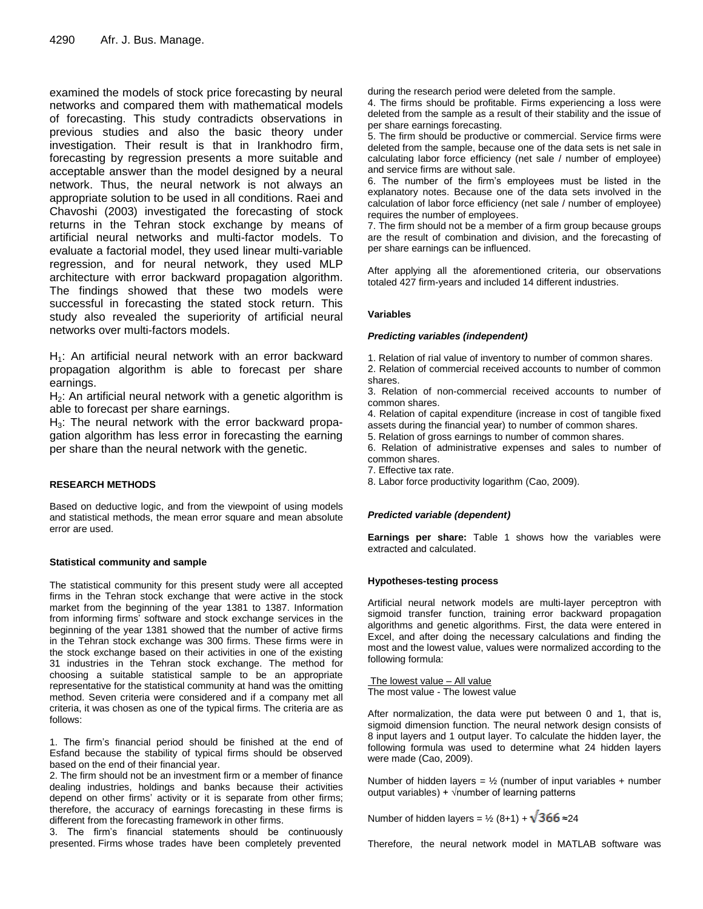examined the models of stock price forecasting by neural networks and compared them with mathematical models of forecasting. This study contradicts observations in previous studies and also the basic theory under investigation. Their result is that in Irankhodro firm, forecasting by regression presents a more suitable and acceptable answer than the model designed by a neural network. Thus, the neural network is not always an appropriate solution to be used in all conditions. Raei and Chavoshi (2003) investigated the forecasting of stock returns in the Tehran stock exchange by means of artificial neural networks and multi-factor models. To evaluate a factorial model, they used linear multi-variable regression, and for neural network, they used MLP architecture with error backward propagation algorithm. The findings showed that these two models were successful in forecasting the stated stock return. This study also revealed the superiority of artificial neural networks over multi-factors models.

 $H_1$ : An artificial neural network with an error backward propagation algorithm is able to forecast per share earnings.

 $H<sub>2</sub>$ : An artificial neural network with a genetic algorithm is able to forecast per share earnings.

 $H<sub>3</sub>$ : The neural network with the error backward propagation algorithm has less error in forecasting the earning per share than the neural network with the genetic.

#### **RESEARCH METHODS**

Based on deductive logic, and from the viewpoint of using models and statistical methods, the mean error square and mean absolute error are used.

#### **Statistical community and sample**

The statistical community for this present study were all accepted firms in the Tehran stock exchange that were active in the stock market from the beginning of the year 1381 to 1387. Information from informing firms' software and stock exchange services in the beginning of the year 1381 showed that the number of active firms in the Tehran stock exchange was 300 firms. These firms were in the stock exchange based on their activities in one of the existing 31 industries in the Tehran stock exchange. The method for choosing a suitable statistical sample to be an appropriate representative for the statistical community at hand was the omitting method. Seven criteria were considered and if a company met all criteria, it was chosen as one of the typical firms. The criteria are as follows:

1. The firm's financial period should be finished at the end of Esfand because the stability of typical firms should be observed based on the end of their financial year.

2. The firm should not be an investment firm or a member of finance dealing industries, holdings and banks because their activities depend on other firms' activity or it is separate from other firms; therefore, the accuracy of earnings forecasting in these firms is different from the forecasting framework in other firms.

3. The firm's financial statements should be continuously presented. Firms whose trades have been completely prevented

during the research period were deleted from the sample.

4. The firms should be profitable. Firms experiencing a loss were deleted from the sample as a result of their stability and the issue of per share earnings forecasting.

5. The firm should be productive or commercial. Service firms were deleted from the sample, because one of the data sets is net sale in calculating labor force efficiency (net sale / number of employee) and service firms are without sale.

6. The number of the firm's employees must be listed in the explanatory notes. Because one of the data sets involved in the calculation of labor force efficiency (net sale / number of employee) requires the number of employees.

7. The firm should not be a member of a firm group because groups are the result of combination and division, and the forecasting of per share earnings can be influenced.

After applying all the aforementioned criteria, our observations totaled 427 firm-years and included 14 different industries.

#### **Variables**

#### *Predicting variables (independent)*

1. Relation of rial value of inventory to number of common shares.

2. Relation of commercial received accounts to number of common shares.

3. Relation of non-commercial received accounts to number of common shares.

4. Relation of capital expenditure (increase in cost of tangible fixed assets during the financial year) to number of common shares.

5. Relation of gross earnings to number of common shares.

6. Relation of administrative expenses and sales to number of common shares.

- 7. Effective tax rate.
- 8. Labor force productivity logarithm (Cao, 2009).

#### *Predicted variable (dependent)*

**Earnings per share:** Table 1 shows how the variables were extracted and calculated.

#### **Hypotheses-testing process**

Artificial neural network models are multi-layer perceptron with sigmoid transfer function, training error backward propagation algorithms and genetic algorithms. First, the data were entered in Excel, and after doing the necessary calculations and finding the most and the lowest value, values were normalized according to the following formula:

The lowest value – All value The most value - The lowest value

After normalization, the data were put between 0 and 1, that is, sigmoid dimension function. The neural network design consists of 8 input layers and 1 output layer. To calculate the hidden layer, the following formula was used to determine what 24 hidden layers were made (Cao, 2009).

Number of hidden layers =  $\frac{1}{2}$  (number of input variables + number output variables) +  $\sqrt{\ }$ number of learning patterns

Number of hidden layers =  $\frac{1}{2}$  (8+1) +  $\sqrt{366}$  ≈24

Therefore, the neural network model in MATLAB software was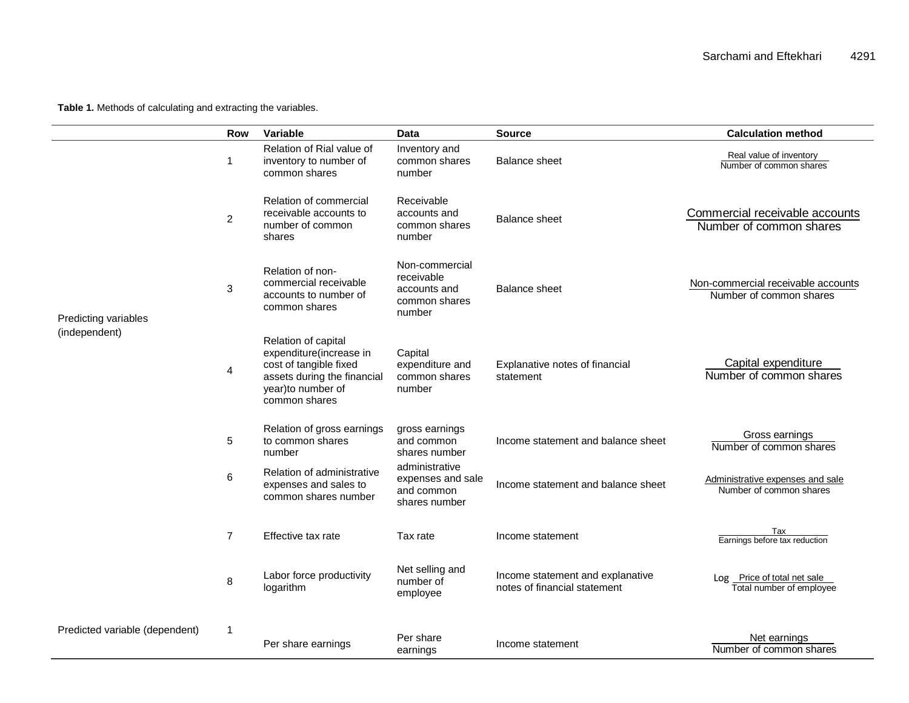**Table 1.** Methods of calculating and extracting the variables.

|                                       | <b>Row</b>     | Variable                                                                                                                                      | <b>Data</b>                                                             | <b>Source</b>                                                    | <b>Calculation method</b>                                     |
|---------------------------------------|----------------|-----------------------------------------------------------------------------------------------------------------------------------------------|-------------------------------------------------------------------------|------------------------------------------------------------------|---------------------------------------------------------------|
|                                       | $\mathbf{1}$   | Relation of Rial value of<br>inventory to number of<br>common shares                                                                          | Inventory and<br>common shares<br>number                                | <b>Balance sheet</b>                                             | Real value of inventory<br>Number of common shares            |
| Predicting variables<br>(independent) | $\overline{c}$ | Relation of commercial<br>receivable accounts to<br>number of common<br>shares                                                                | Receivable<br>accounts and<br>common shares<br>number                   | <b>Balance sheet</b>                                             | Commercial receivable accounts<br>Number of common shares     |
|                                       | $\mathbf 3$    | Relation of non-<br>commercial receivable<br>accounts to number of<br>common shares                                                           | Non-commercial<br>receivable<br>accounts and<br>common shares<br>number | <b>Balance sheet</b>                                             | Non-commercial receivable accounts<br>Number of common shares |
|                                       | 4              | Relation of capital<br>expenditure(increase in<br>cost of tangible fixed<br>assets during the financial<br>year)to number of<br>common shares | Capital<br>expenditure and<br>common shares<br>number                   | Explanative notes of financial<br>statement                      | Capital expenditure<br>Number of common shares                |
|                                       | 5              | Relation of gross earnings<br>to common shares<br>number                                                                                      | gross earnings<br>and common<br>shares number                           | Income statement and balance sheet                               | Gross earnings<br>Number of common shares                     |
|                                       | 6              | Relation of administrative<br>expenses and sales to<br>common shares number                                                                   | administrative<br>expenses and sale<br>and common<br>shares number      | Income statement and balance sheet                               | Administrative expenses and sale<br>Number of common shares   |
|                                       | $\overline{7}$ | Effective tax rate                                                                                                                            | Tax rate                                                                | Income statement                                                 | Tax<br>Earnings before tax reduction                          |
|                                       | 8              | Labor force productivity<br>logarithm                                                                                                         | Net selling and<br>number of<br>employee                                | Income statement and explanative<br>notes of financial statement | Log Price of total net sale<br>Total number of employee       |
| Predicted variable (dependent)        | 1              | Per share earnings                                                                                                                            | Per share<br>earnings                                                   | Income statement                                                 | Net earnings<br>Number of common shares                       |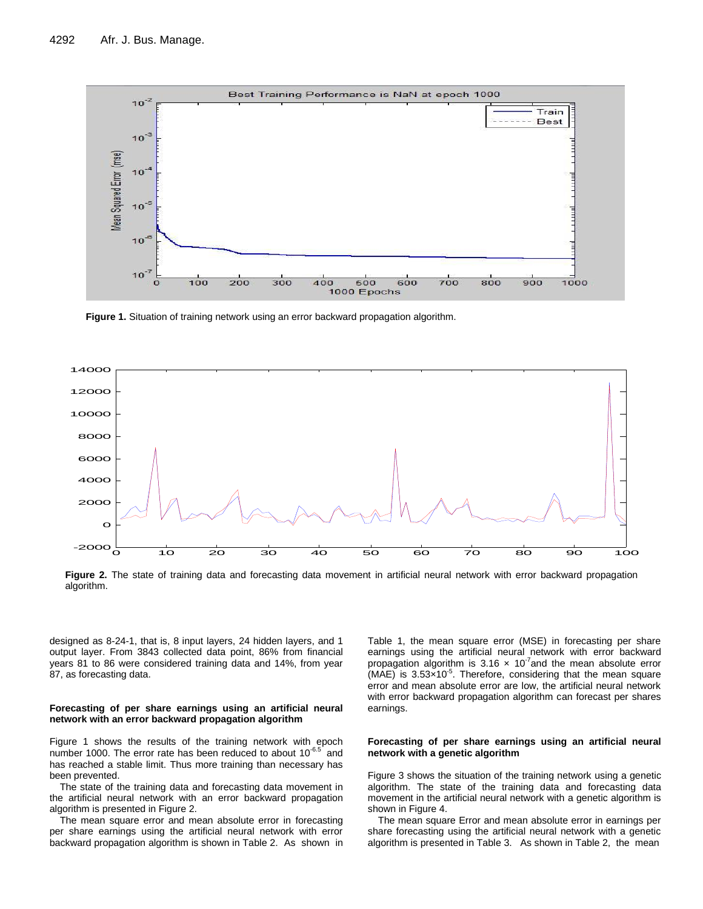

**Figure 1.** Situation of training network using an error backward propagation algorithm.



**Figure 2.** The state of training data and forecasting data movement in artificial neural network with error backward propagation algorithm.

designed as 8-24-1, that is, 8 input layers, 24 hidden layers, and 1 output layer. From 3843 collected data point, 86% from financial years 81 to 86 were considered training data and 14%, from year 87, as forecasting data.

#### **Forecasting of per share earnings using an artificial neural network with an error backward propagation algorithm**

Figure 1 shows the results of the training network with epoch number 1000. The error rate has been reduced to about  $10^{-6.5}$  and has reached a stable limit. Thus more training than necessary has been prevented.

The state of the training data and forecasting data movement in the artificial neural network with an error backward propagation algorithm is presented in Figure 2.

The mean square error and mean absolute error in forecasting per share earnings using the artificial neural network with error backward propagation algorithm is shown in Table 2. As shown in

Table 1, the mean square error (MSE) in forecasting per share earnings using the artificial neural network with error backward propagation algorithm is 3.16  $\times$  10<sup>-7</sup> and the mean absolute error  $(MAE)$  is 3.53 $\times$ 10<sup>-5</sup>. Therefore, considering that the mean square error and mean absolute error are low, the artificial neural network with error backward propagation algorithm can forecast per shares earnings.

#### **Forecasting of per share earnings using an artificial neural network with a genetic algorithm**

Figure 3 shows the situation of the training network using a genetic algorithm. The state of the training data and forecasting data movement in the artificial neural network with a genetic algorithm is shown in Figure 4.

The mean square Error and mean absolute error in earnings per share forecasting using the artificial neural network with a genetic algorithm is presented in Table 3. As shown in Table 2, the mean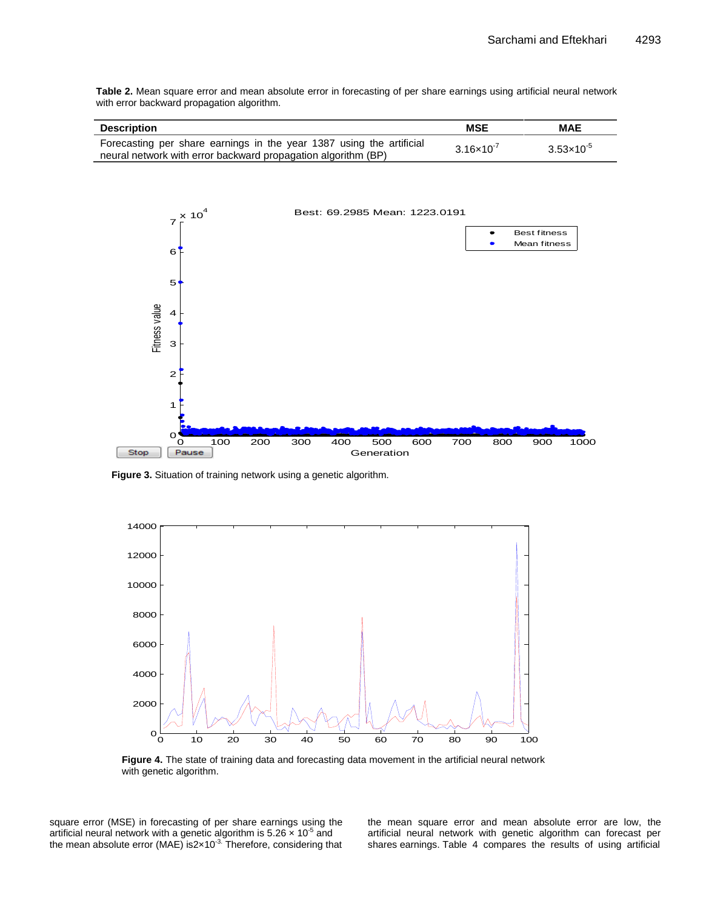**Table 2.** Mean square error and mean absolute error in forecasting of per share earnings using artificial neural network with error backward propagation algorithm.

| <b>Description</b>                                                                                                                    | <b>MSE</b>            | <b>MAE</b>          |
|---------------------------------------------------------------------------------------------------------------------------------------|-----------------------|---------------------|
| Forecasting per share earnings in the year 1387 using the artificial<br>neural network with error backward propagation algorithm (BP) | $3.16 \times 10^{-7}$ | $3.53\times10^{-5}$ |



**Figure 3.** Situation of training network using a genetic algorithm.



**Figure 4.** The state of training data and forecasting data movement in the artificial neural network with genetic algorithm.

square error (MSE) in forecasting of per share earnings using the artificial neural network with a genetic algorithm is 5.26  $\times$  10<sup>-5</sup> and the mean absolute error (MAE) is2 $\times$ 10<sup>-3.</sup> Therefore, considering that the mean square error and mean absolute error are low, the artificial neural network with genetic algorithm can forecast per shares earnings. Table 4 compares the results of using artificial